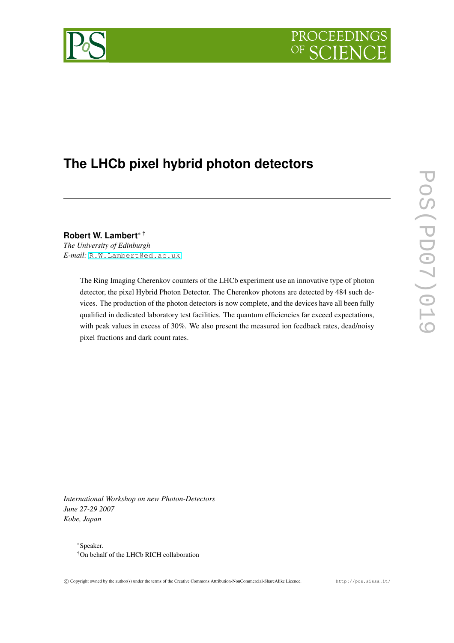



# **The LHCb pixel hybrid photon detectors**

**Robert W. Lambert**<sup>∗</sup> † *The University of Edinburgh E-mail:* [R.W.Lambert@ed.ac.uk](mailto:R.W.Lambert@ed.ac.uk)

> The Ring Imaging Cherenkov counters of the LHCb experiment use an innovative type of photon detector, the pixel Hybrid Photon Detector. The Cherenkov photons are detected by 484 such devices. The production of the photon detectors is now complete, and the devices have all been fully qualified in dedicated laboratory test facilities. The quantum efficiencies far exceed expectations, with peak values in excess of 30%. We also present the measured ion feedback rates, dead/noisy pixel fractions and dark count rates.

*International Workshop on new Photon-Detectors June 27-29 2007 Kobe, Japan*

<sup>∗</sup>Speaker. †On behalf of the LHCb RICH collaboration

<sup>°</sup>c Copyright owned by the author(s) under the terms of the Creative Commons Attribution-NonCommercial-ShareAlike Licence. http://pos.sissa.it/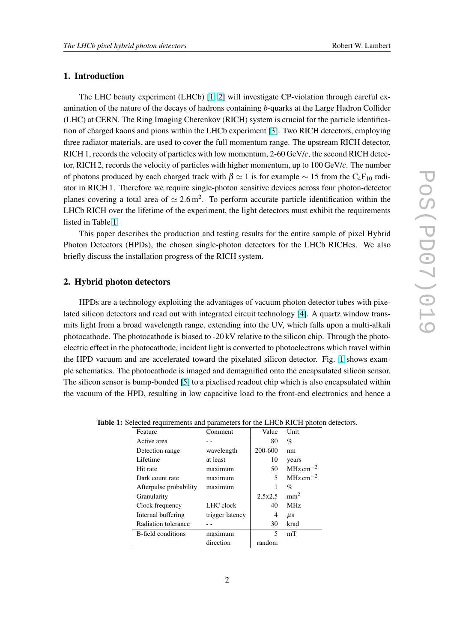## <span id="page-1-0"></span>1. Introduction

The LHC beauty experiment (LHCb) [\[1,](#page-6-0) [2\]](#page-6-0) will investigate CP-violation through careful examination of the nature of the decays of hadrons containing *b*-quarks at the Large Hadron Collider (LHC) at CERN. The Ring Imaging Cherenkov (RICH) system is crucial for the particle identification of charged kaons and pions within the LHCb experiment [\[3\]](#page-6-0). Two RICH detectors, employing three radiator materials, are used to cover the full momentum range. The upstream RICH detector, RICH 1, records the velocity of particles with low momentum, 2-60 GeV/*c*, the second RICH detector, RICH 2, records the velocity of particles with higher momentum, up to 100 GeV/*c*. The number of photons produced by each charged track with  $\beta \simeq 1$  is for example  $\sim 15$  from the C<sub>4</sub>F<sub>10</sub> radiator in RICH 1. Therefore we require single-photon sensitive devices across four photon-detector planes covering a total area of  $\simeq 2.6 \,\text{m}^2$ . To perform accurate particle identification within the LHCb RICH over the lifetime of the experiment, the light detectors must exhibit the requirements listed in Table 1.

This paper describes the production and testing results for the entire sample of pixel Hybrid Photon Detectors (HPDs), the chosen single-photon detectors for the LHCb RICHes. We also briefly discuss the installation progress of the RICH system.

## 2. Hybrid photon detectors

HPDs are a technology exploiting the advantages of vacuum photon detector tubes with pixelated silicon detectors and read out with integrated circuit technology [\[4\]](#page-6-0). A quartz window transmits light from a broad wavelength range, extending into the UV, which falls upon a multi-alkali photocathode. The photocathode is biased to -20 kV relative to the silicon chip. Through the photoelectric effect in the photocathode, incident light is converted to photoelectrons which travel within the HPD vacuum and are accelerated toward the pixelated silicon detector. Fig. [1](#page-2-0) shows example schematics. The photocathode is imaged and demagnified onto the encapsulated silicon sensor. The silicon sensor is bump-bonded [\[5\]](#page-6-0) to a pixelised readout chip which is also encapsulated within the vacuum of the HPD, resulting in low capacitive load to the front-end electronics and hence a

| Feature                   | Comment         | Value   | Unit                  |
|---------------------------|-----------------|---------|-----------------------|
| Active area               |                 | 80      | $\%$                  |
| Detection range           | wavelength      | 200-600 | nm                    |
| Lifetime                  | at least        | 10      | years                 |
| Hit rate                  | maximum         | 50      | $MHz \text{ cm}^{-2}$ |
| Dark count rate           | maximum         | 5       | $MHz \text{ cm}^{-2}$ |
| Afterpulse probability    | maximum         |         | $\%$                  |
| Granularity               |                 | 2.5x2.5 | mm <sup>2</sup>       |
| Clock frequency           | LHC clock       | 40      | MHz                   |
| Internal buffering        | trigger latency | 4       | $\mu$ s               |
| Radiation tolerance       |                 | 30      | krad                  |
| <b>B-field conditions</b> | maximum         | 5       | mT                    |
|                           | direction       | random  |                       |

Table 1: Selected requirements and parameters for the LHCb RICH photon detectors.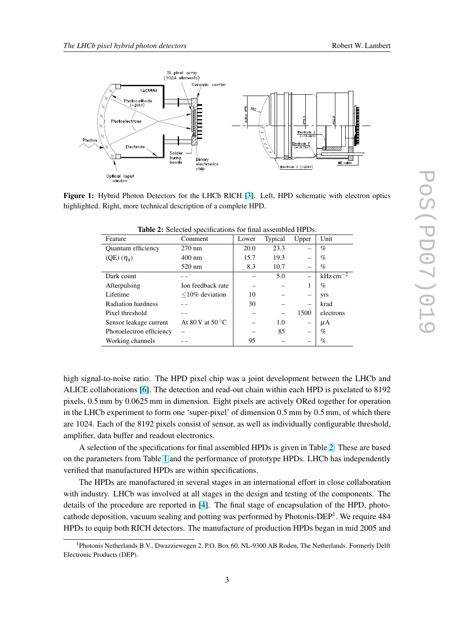<span id="page-2-0"></span>

Figure 1: Hybrid Photon Detectors for the LHCb RICH [\[3\]](#page-6-0). Left, HPD schematic with electron optics highlighted. Right, more technical description of a complete HPD.

| Feature                  | Comment                    | Lower | Typical | Upper                    | Unit                    |
|--------------------------|----------------------------|-------|---------|--------------------------|-------------------------|
| Quantum efficiency       | $270 \text{ nm}$           | 20.0  | 23.3    |                          | $\%$                    |
| $(QE) (\eta_q)$          | $400 \text{ nm}$           | 15.7  | 19.3    |                          | $\%$                    |
|                          | $520 \text{ nm}$           | 8.3   | 10.7    |                          | $\%$                    |
| Dark count               |                            |       | 5.0     |                          | $kHz \, \text{cm}^{-2}$ |
| Afterpulsing             | Ion feedback rate          |       |         | I                        | $\%$                    |
| Lifetime                 | $\leq$ 10% deviation       | 10    |         |                          | yrs                     |
| Radiation hardness       |                            | 30    |         | $\overline{\phantom{m}}$ | krad                    |
| Pixel threshold          |                            |       |         | 1500                     | electrons               |
| Sensor leakage current   | At 80 V at 50 $^{\circ}$ C |       | 1.0     |                          | μA                      |
| Photoelectron efficiency |                            |       | 85      |                          | $\%$                    |
| Working channels         |                            | 95    |         |                          | $\%$                    |

Table 2: Selected specifications for final assembled HPDs.

high signal-to-noise ratio. The HPD pixel chip was a joint development between the LHCb and ALICE collaborations [\[6\]](#page-6-0). The detection and read-out chain within each HPD is pixelated to 8192 pixels, 0.5 mm by 0.0625 mm in dimension. Eight pixels are actively ORed together for operation in the LHCb experiment to form one 'super-pixel' of dimension 0.5 mm by 0.5 mm, of which there are 1024. Each of the 8192 pixels consist of sensor, as well as individually configurable threshold, amplifier, data buffer and readout electronics.

A selection of the specifications for final assembled HPDs is given in Table 2. These are based on the parameters from Table [1](#page-1-0) and the performance of prototype HPDs. LHCb has independently verified that manufactured HPDs are within specifications.

The HPDs are manufactured in several stages in an international effort in close collaboration with industry. LHCb was involved at all stages in the design and testing of the components. The details of the procedure are reported in [\[4\]](#page-6-0). The final stage of encapsulation of the HPD, photocathode deposition, vacuum sealing and potting was performed by Photonis-DEP<sup>1</sup>. We require 484 HPDs to equip both RICH detectors. The manufacture of production HPDs began in mid 2005 and

<sup>&</sup>lt;sup>1</sup>Photonis Netherlands B.V., Dwazziewegen 2, P.O. Box 60, NL-9300 AB Roden, The Netherlands. Formerly Delft Electronic Products (DEP).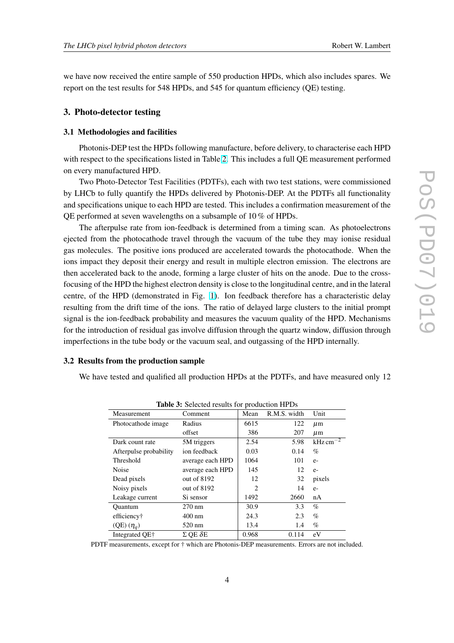<span id="page-3-0"></span>we have now received the entire sample of 550 production HPDs, which also includes spares. We report on the test results for 548 HPDs, and 545 for quantum efficiency (QE) testing.

## 3. Photo-detector testing

#### 3.1 Methodologies and facilities

Photonis-DEP test the HPDs following manufacture, before delivery, to characterise each HPD with respect to the specifications listed in Table [2.](#page-2-0) This includes a full QE measurement performed on every manufactured HPD.

Two Photo-Detector Test Facilities (PDTFs), each with two test stations, were commissioned by LHCb to fully quantify the HPDs delivered by Photonis-DEP. At the PDTFs all functionality and specifications unique to each HPD are tested. This includes a confirmation measurement of the QE performed at seven wavelengths on a subsample of 10 % of HPDs.

The afterpulse rate from ion-feedback is determined from a timing scan. As photoelectrons ejected from the photocathode travel through the vacuum of the tube they may ionise residual gas molecules. The positive ions produced are accelerated towards the photocathode. When the ions impact they deposit their energy and result in multiple electron emission. The electrons are then accelerated back to the anode, forming a large cluster of hits on the anode. Due to the crossfocusing of the HPD the highest electron density is close to the longitudinal centre, and in the lateral centre, of the HPD (demonstrated in Fig. [1\)](#page-2-0). Ion feedback therefore has a characteristic delay resulting from the drift time of the ions. The ratio of delayed large clusters to the initial prompt signal is the ion-feedback probability and measures the vacuum quality of the HPD. Mechanisms for the introduction of residual gas involve diffusion through the quartz window, diffusion through imperfections in the tube body or the vacuum seal, and outgassing of the HPD internally.

#### 3.2 Results from the production sample

We have tested and qualified all production HPDs at the PDTFs, and have measured only 12

| <b>Table 3:</b> Selected results for production HPDs |                        |       |              |                         |  |  |  |
|------------------------------------------------------|------------------------|-------|--------------|-------------------------|--|--|--|
| Measurement                                          | Comment                | Mean  | R.M.S. width | Unit                    |  |  |  |
| Photocathode image                                   | Radius                 | 6615  | 122          | $\mu$ m                 |  |  |  |
|                                                      | offset                 | 386   | 207          | $\mu$ m                 |  |  |  |
| Dark count rate                                      | 5M triggers            | 2.54  | 5.98         | $kHz \, \text{cm}^{-2}$ |  |  |  |
| Afterpulse probability                               | ion feedback           | 0.03  | 0.14         | $\%$                    |  |  |  |
| Threshold                                            | average each HPD       | 1064  | 101          | $e-$                    |  |  |  |
| Noise                                                | average each HPD       | 145   | 12           | $e-$                    |  |  |  |
| Dead pixels                                          | out of $8192$          | 12    | 32           | pixels                  |  |  |  |
| Noisy pixels                                         | out of 8192            | 2     | 14           | $e-$                    |  |  |  |
| Leakage current                                      | Si sensor              | 1492  | 2660         | nA                      |  |  |  |
| <b>Ouantum</b>                                       | $270 \text{ nm}$       | 30.9  | 3.3          | $\%$                    |  |  |  |
| efficiency†                                          | $400 \text{ nm}$       | 24.3  | 2.3          | $\%$                    |  |  |  |
| $(QE) (\eta_q)$                                      | $520 \text{ nm}$       | 13.4  | 1.4          | %                       |  |  |  |
| Integrated OE+                                       | $\Sigma$ OE $\delta$ E | 0.968 | 0.114        | eV                      |  |  |  |

Table 3: Selected results for production HPDs

PDTF measurements, except for † which are Photonis-DEP measurements. Errors are not included.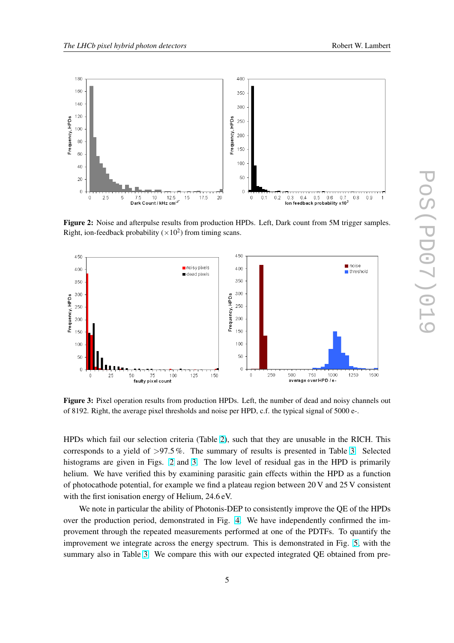

Figure 2: Noise and afterpulse results from production HPDs. Left, Dark count from 5M trigger samples. Right, ion-feedback probability ( $\times 10^2$ ) from timing scans.



Figure 3: Pixel operation results from production HPDs. Left, the number of dead and noisy channels out of 8192. Right, the average pixel thresholds and noise per HPD, c.f. the typical signal of 5000 e-.

HPDs which fail our selection criteria (Table [2\)](#page-2-0), such that they are unusable in the RICH. This corresponds to a yield of  $>97.5\%$ . The summary of results is presented in Table [3.](#page-3-0) Selected histograms are given in Figs. 2 and 3. The low level of residual gas in the HPD is primarily helium. We have verified this by examining parasitic gain effects within the HPD as a function of photocathode potential, for example we find a plateau region between 20 V and 25 V consistent with the first ionisation energy of Helium, 24.6 eV.

We note in particular the ability of Photonis-DEP to consistently improve the QE of the HPDs over the production period, demonstrated in Fig. [4.](#page-5-0) We have independently confirmed the improvement through the repeated measurements performed at one of the PDTFs. To quantify the improvement we integrate across the energy spectrum. This is demonstrated in Fig. [5,](#page-5-0) with the summary also in Table [3.](#page-3-0) We compare this with our expected integrated QE obtained from pre-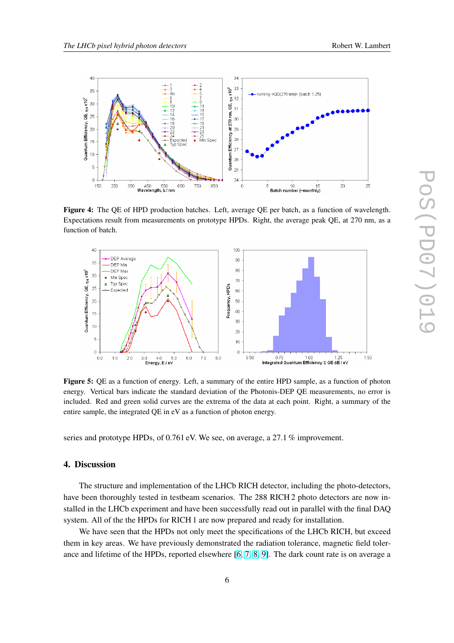<span id="page-5-0"></span>

Figure 4: The QE of HPD production batches. Left, average QE per batch, as a function of wavelength. Expectations result from measurements on prototype HPDs. Right, the average peak QE, at 270 nm, as a function of batch.



Figure 5: QE as a function of energy. Left, a summary of the entire HPD sample, as a function of photon energy. Vertical bars indicate the standard deviation of the Photonis-DEP QE measurements, no error is included. Red and green solid curves are the extrema of the data at each point. Right, a summary of the entire sample, the integrated QE in eV as a function of photon energy.

series and prototype HPDs, of 0.761 eV. We see, on average, a 27.1 % improvement.

# 4. Discussion

The structure and implementation of the LHCb RICH detector, including the photo-detectors, have been thoroughly tested in testbeam scenarios. The 288 RICH 2 photo detectors are now installed in the LHCb experiment and have been successfully read out in parallel with the final DAQ system. All of the the HPDs for RICH 1 are now prepared and ready for installation.

We have seen that the HPDs not only meet the specifications of the LHCb RICH, but exceed them in key areas. We have previously demonstrated the radiation tolerance, magnetic field tolerance and lifetime of the HPDs, reported elsewhere [\[6,](#page-6-0) [7,](#page-6-0) [8,](#page-6-0) [9\]](#page-6-0). The dark count rate is on average a